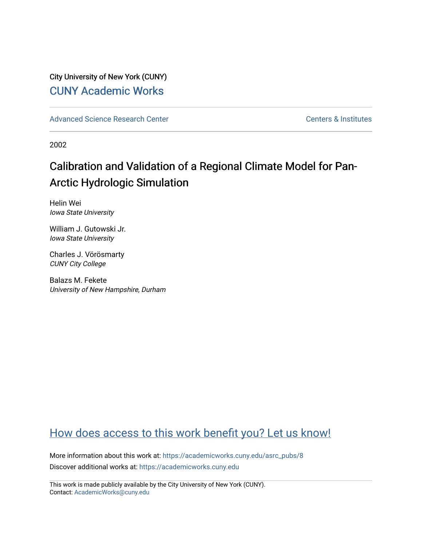# City University of New York (CUNY) [CUNY Academic Works](https://academicworks.cuny.edu/)

[Advanced Science Research Center](https://academicworks.cuny.edu/asrc_pubs) Center Center Centers & Institutes

2002

# Calibration and Validation of a Regional Climate Model for Pan-Arctic Hydrologic Simulation

Helin Wei Iowa State University

William J. Gutowski Jr. Iowa State University

Charles J. Vörösmarty CUNY City College

Balazs M. Fekete University of New Hampshire, Durham

# [How does access to this work benefit you? Let us know!](http://ols.cuny.edu/academicworks/?ref=https://academicworks.cuny.edu/asrc_pubs/8)

More information about this work at: [https://academicworks.cuny.edu/asrc\\_pubs/8](https://academicworks.cuny.edu/asrc_pubs/8) Discover additional works at: [https://academicworks.cuny.edu](https://academicworks.cuny.edu/?)

This work is made publicly available by the City University of New York (CUNY). Contact: [AcademicWorks@cuny.edu](mailto:AcademicWorks@cuny.edu)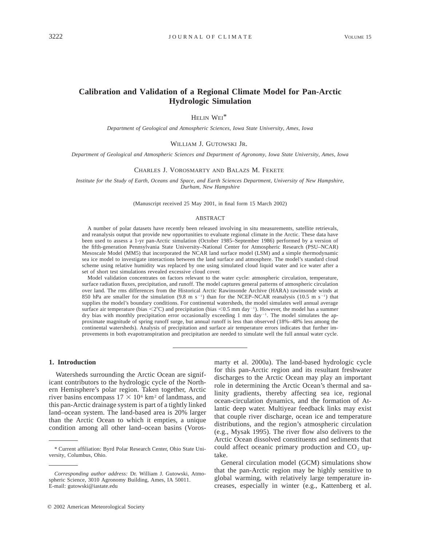# **Calibration and Validation of a Regional Climate Model for Pan-Arctic Hydrologic Simulation**

HELIN WEI\*

*Department of Geological and Atmospheric Sciences, Iowa State University, Ames, Iowa*

#### WILLIAM J. GUTOWSKI JR.

*Department of Geological and Atmospheric Sciences and Department of Agronomy, Iowa State University, Ames, Iowa*

#### CHARLES J. VOROSMARTY AND BALAZS M. FEKETE

*Institute for the Study of Earth, Oceans and Space, and Earth Sciences Department, University of New Hampshire, Durham, New Hampshire*

(Manuscript received 25 May 2001, in final form 15 March 2002)

#### ABSTRACT

A number of polar datasets have recently been released involving in situ measurements, satellite retrievals, and reanalysis output that provide new opportunities to evaluate regional climate in the Arctic. These data have been used to assess a 1-yr pan-Arctic simulation (October 1985–September 1986) performed by a version of the fifth-generation Pennsylvania State University–National Center for Atmospheric Research (PSU–NCAR) Mesoscale Model (MM5) that incorporated the NCAR land surface model (LSM) and a simple thermodynamic sea ice model to investigate interactions between the land surface and atmosphere. The model's standard cloud scheme using relative humidity was replaced by one using simulated cloud liquid water and ice water after a set of short test simulations revealed excessive cloud cover.

Model validation concentrates on factors relevant to the water cycle: atmospheric circulation, temperature, surface radiation fluxes, precipitation, and runoff. The model captures general patterns of atmospheric circulation over land. The rms differences from the Historical Arctic Rawinsonde Archive (HARA) rawinsonde winds at 850 hPa are smaller for the simulation (9.8 m s<sup>-1</sup>) than for the NCEP–NCAR reanalysis (10.5 m s<sup>-1</sup>) that supplies the model's boundary conditions. For continental watersheds, the model simulates well annual average surface air temperature (bias  $\langle 2^{\circ}C \rangle$  and precipitation (bias  $\langle 0.5 \rangle$  mm day<sup>-1</sup>). However, the model has a summer dry bias with monthly precipitation error occasionally exceeding 1 mm day $^{-1}$ . The model simulates the approximate magnitude of spring runoff surge, but annual runoff is less than observed (18%–48% less among the continental watersheds). Analysis of precipitation and surface air temperature errors indicates that further improvements in both evapotranspiration and precipitation are needed to simulate well the full annual water cycle.

#### **1. Introduction**

Watersheds surrounding the Arctic Ocean are significant contributors to the hydrologic cycle of the Northern Hemisphere's polar region. Taken together, Arctic river basins encompass  $17 \times 10^6$  km<sup>2</sup> of landmass, and this pan-Arctic drainage system is part of a tightly linked land–ocean system. The land-based area is 20% larger than the Arctic Ocean to which it empties, a unique condition among all other land–ocean basins (Voros-

marty et al. 2000a). The land-based hydrologic cycle for this pan-Arctic region and its resultant freshwater discharges to the Arctic Ocean may play an important role in determining the Arctic Ocean's thermal and salinity gradients, thereby affecting sea ice, regional ocean-circulation dynamics, and the formation of Atlantic deep water. Multiyear feedback links may exist that couple river discharge, ocean ice and temperature distributions, and the region's atmospheric circulation (e.g., Mysak 1995). The river flow also delivers to the Arctic Ocean dissolved constituents and sediments that could affect oceanic primary production and  $CO<sub>2</sub>$  uptake.

General circulation model (GCM) simulations show that the pan-Arctic region may be highly sensitive to global warming, with relatively large temperature increases, especially in winter (e.g., Kattenberg et al.

<sup>\*</sup> Current affiliation: Byrd Polar Research Center, Ohio State University, Columbus, Ohio.

*Corresponding author address:* Dr. William J. Gutowski, Atmospheric Science, 3010 Agronomy Building, Ames, IA 50011. E-mail: gutowski@iastate.edu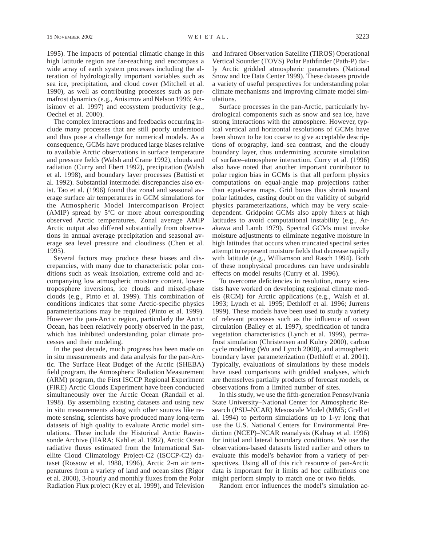1995). The impacts of potential climatic change in this high latitude region are far-reaching and encompass a wide array of earth system processes including the alteration of hydrologically important variables such as sea ice, precipitation, and cloud cover (Mitchell et al. 1990), as well as contributing processes such as permafrost dynamics (e.g., Anisimov and Nelson 1996; Anisimov et al. 1997) and ecosystem productivity (e.g., Oechel et al. 2000).

The complex interactions and feedbacks occurring include many processes that are still poorly understood and thus pose a challenge for numerical models. As a consequence, GCMs have produced large biases relative to available Arctic observations in surface temperature and pressure fields (Walsh and Crane 1992), clouds and radiation (Curry and Ebert 1992), precipitation (Walsh et al. 1998), and boundary layer processes (Battisti et al. 1992). Substantial intermodel discrepancies also exist. Tao et al. (1996) found that zonal and seasonal average surface air temperatures in GCM simulations for the Atmospheric Model Intercomparison Project (AMIP) spread by  $5^{\circ}$ C or more about corresponding observed Arctic temperatures. Zonal average AMIP Arctic output also differed substantially from observations in annual average precipitation and seasonal average sea level pressure and cloudiness (Chen et al. 1995).

Several factors may produce these biases and discrepancies, with many due to characteristic polar conditions such as weak insolation, extreme cold and accompanying low atmospheric moisture content, lowertroposphere inversions, ice clouds and mixed-phase clouds (e.g., Pinto et al. 1999). This combination of conditions indicates that some Arctic-specific physics parameterizations may be required (Pinto et al. 1999). However the pan-Arctic region, particularly the Arctic Ocean, has been relatively poorly observed in the past, which has inhibited understanding polar climate processes and their modeling.

In the past decade, much progress has been made on in situ measurements and data analysis for the pan-Arctic. The Surface Heat Budget of the Arctic (SHEBA) field program, the Atmospheric Radiation Measurement (ARM) program, the First ISCCP Regional Experiment (FIRE) Arctic Clouds Experiment have been conducted simultaneously over the Arctic Ocean (Randall et al. 1998). By assembling existing datasets and using new in situ measurements along with other sources like remote sensing, scientists have produced many long-term datasets of high quality to evaluate Arctic model simulations. These include the Historical Arctic Rawinsonde Archive (HARA; Kahl et al. 1992), Arctic Ocean radiative fluxes estimated from the International Satellite Cloud Climatology Project-C2 (ISCCP-C2) dataset (Rossow et al. 1988, 1996), Arctic 2-m air temperatures from a variety of land and ocean sites (Rigor et al. 2000), 3-hourly and monthly fluxes from the Polar Radiation Flux project (Key et al. 1999), and Television

and Infrared Observation Satellite (TIROS) Operational Vertical Sounder (TOVS) Polar Pathfinder (Path-P) daily Arctic gridded atmospheric parameters (National Snow and Ice Data Center 1999). These datasets provide a variety of useful perspectives for understanding polar climate mechanisms and improving climate model simulations.

Surface processes in the pan-Arctic, particularly hydrological components such as snow and sea ice, have strong interactions with the atmosphere. However, typical vertical and horizontal resolutions of GCMs have been shown to be too coarse to give acceptable descriptions of orography, land–sea contrast, and the cloudy boundary layer, thus undermining accurate simulation of surface–atmosphere interaction. Curry et al. (1996) also have noted that another important contributor to polar region bias in GCMs is that all perform physics computations on equal-angle map projections rather than equal-area maps. Grid boxes thus shrink toward polar latitudes, casting doubt on the validity of subgrid physics parameterizations, which may be very scaledependent. Gridpoint GCMs also apply filters at high latitudes to avoid computational instability (e.g., Arakawa and Lamb 1979). Spectral GCMs must invoke moisture adjustments to eliminate negative moisture in high latitudes that occurs when truncated spectral series attempt to represent moisture fields that decrease rapidly with latitude (e.g., Williamson and Rasch 1994). Both of these nonphysical procedures can have undesirable effects on model results (Curry et al. 1996).

To overcome deficiencies in resolution, many scientists have worked on developing regional climate models (RCM) for Arctic applications (e.g., Walsh et al. 1993; Lynch et al. 1995; Dethloff et al. 1996; Jurrens 1999). These models have been used to study a variety of relevant processes such as the influence of ocean circulation (Bailey et al. 1997), specification of tundra vegetation characteristics (Lynch et al. 1999), permafrost simulation (Christensen and Kuhry 2000), carbon cycle modeling (Wu and Lynch 2000), and atmospheric boundary layer parameterization (Dethloff et al. 2001). Typically, evaluations of simulations by these models have used comparisons with gridded analyses, which are themselves partially products of forecast models, or observations from a limited number of sites.

In this study, we use the fifth-generation Pennsylvania State University–National Center for Atmospheric Research (PSU–NCAR) Mesoscale Model (MM5; Grell et al. 1994) to perform simulations up to 1-yr long that use the U.S. National Centers for Environmental Prediction (NCEP)–NCAR reanalysis (Kalnay et al. 1996) for initial and lateral boundary conditions. We use the observations-based datasets listed earlier and others to evaluate this model's behavior from a variety of perspectives. Using all of this rich resource of pan-Arctic data is important for it limits ad hoc calibrations one might perform simply to match one or two fields.

Random error influences the model's simulation ac-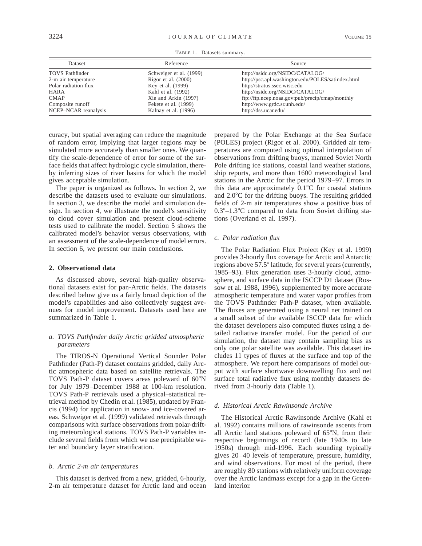| Dataset                | Reference               | Source                                            |  |  |
|------------------------|-------------------------|---------------------------------------------------|--|--|
| <b>TOVS</b> Pathfinder | Schweiger et al. (1999) | http://nsidc.org/NSIDC/CATALOG/                   |  |  |
| 2-m air temperature    | Rigor et al. $(2000)$   | http://psc.apl.washington.edu/POLES/satindex.html |  |  |
| Polar radiation flux   | Key et al. (1999)       | http://stratus.ssec.wisc.edu                      |  |  |
| HARA                   | Kahl et al. (1992)      | http://nsidc.org/NSIDC/CATALOG/                   |  |  |
| <b>CMAP</b>            | Xie and Arkin (1997)    | ftp://ftp.ncep.noaa.gov:pub/precip/cmap/monthly   |  |  |
| Composite runoff       | Fekete et al. (1999)    | http://www.grdc.sr.unh.edu/                       |  |  |
| NCEP-NCAR reanalysis   | Kalnay et al. (1996)    | http://dss.ucar.edu/                              |  |  |

TABLE 1. Datasets summary.

curacy, but spatial averaging can reduce the magnitude of random error, implying that larger regions may be simulated more accurately than smaller ones. We quantify the scale-dependence of error for some of the surface fields that affect hydrologic cycle simulation, thereby inferring sizes of river basins for which the model gives acceptable simulation.

The paper is organized as follows. In section 2, we describe the datasets used to evaluate our simulations. In section 3, we describe the model and simulation design. In section 4, we illustrate the model's sensitivity to cloud cover simulation and present cloud-scheme tests used to calibrate the model. Section 5 shows the calibrated model's behavior versus observations, with an assessment of the scale-dependence of model errors. In section 6, we present our main conclusions.

#### **2. Observational data**

As discussed above, several high-quality observational datasets exist for pan-Arctic fields. The datasets described below give us a fairly broad depiction of the model's capabilities and also collectively suggest avenues for model improvement. Datasets used here are summarized in Table 1.

## *a. TOVS Pathfinder daily Arctic gridded atmospheric parameters*

The TIROS-N Operational Vertical Sounder Polar Pathfinder (Path-P) dataset contains gridded, daily Arctic atmospheric data based on satellite retrievals. The TOVS Path-P dataset covers areas poleward of 60°N for July 1979–December 1988 at 100-km resolution. TOVS Path-P retrievals used a physical–statistical retrieval method by Chedin et al. (1985), updated by Francis (1994) for application in snow- and ice-covered areas. Schweiger et al. (1999) validated retrievals through comparisons with surface observations from polar-drifting meteorological stations. TOVS Path-P variables include several fields from which we use precipitable water and boundary layer stratification.

#### *b. Arctic 2-m air temperatures*

This dataset is derived from a new, gridded, 6-hourly, 2-m air temperature dataset for Arctic land and ocean

prepared by the Polar Exchange at the Sea Surface (POLES) project (Rigor et al. 2000). Gridded air temperatures are computed using optimal interpolation of observations from drifting buoys, manned Soviet North Pole drifting ice stations, coastal land weather stations, ship reports, and more than 1600 meteorological land stations in the Arctic for the period 1979–97. Errors in this data are approximately  $0.1^{\circ}$ C for coastal stations and  $2.0^{\circ}$ C for the drifting buoys. The resulting gridded fields of 2-m air temperatures show a positive bias of  $0.3^{\circ}-1.3^{\circ}$ C compared to data from Soviet drifting stations (Overland et al. 1997).

#### *c. Polar radiation flux*

The Polar Radiation Flux Project (Key et al. 1999) provides 3-hourly flux coverage for Arctic and Antarctic regions above 57.5° latitude, for several years (currently, 1985–93). Flux generation uses 3-hourly cloud, atmosphere, and surface data in the ISCCP D1 dataset (Rossow et al. 1988, 1996), supplemented by more accurate atmospheric temperature and water vapor profiles from the TOVS Pathfinder Path-P dataset, when available. The fluxes are generated using a neural net trained on a small subset of the available ISCCP data for which the dataset developers also computed fluxes using a detailed radiative transfer model. For the period of our simulation, the dataset may contain sampling bias as only one polar satellite was available. This dataset includes 11 types of fluxes at the surface and top of the atmosphere. We report here comparisons of model output with surface shortwave downwelling flux and net surface total radiative flux using monthly datasets derived from 3-hourly data (Table 1).

#### *d. Historical Arctic Rawinsonde Archive*

The Historical Arctic Rawinsonde Archive (Kahl et al. 1992) contains millions of rawinsonde ascents from all Arctic land stations poleward of  $65^\circ$ N, from their respective beginnings of record (late 1940s to late 1950s) through mid-1996. Each sounding typically gives 20–40 levels of temperature, pressure, humidity, and wind observations. For most of the period, there are roughly 80 stations with relatively uniform coverage over the Arctic landmass except for a gap in the Greenland interior.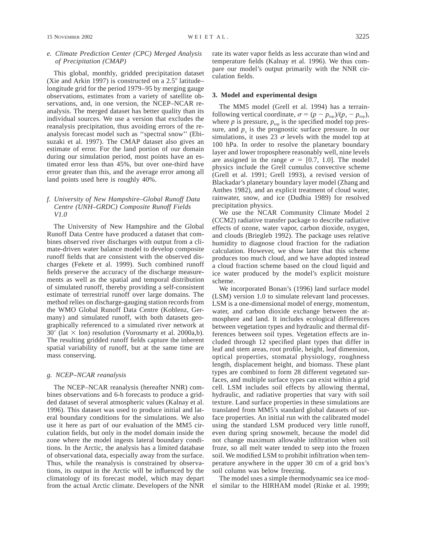This global, monthly, gridded precipitation dataset (Xie and Arkin 1997) is constructed on a  $2.5^{\circ}$  latitude– longitude grid for the period 1979–95 by merging gauge observations, estimates from a variety of satellite observations, and, in one version, the NCEP–NCAR reanalysis. The merged dataset has better quality than its individual sources. We use a version that excludes the reanalysis precipitation, thus avoiding errors of the reanalysis forecast model such as ''spectral snow'' (Ebisuzaki et al. 1997). The CMAP dataset also gives an estimate of error. For the land portion of our domain during our simulation period, most points have an estimated error less than 45%, but over one-third have error greater than this, and the average error among all land points used here is roughly 40%.

## *f. University of New Hampshire–Global Runoff Data Centre (UNH–GRDC) Composite Runoff Fields V1.0*

The University of New Hampshire and the Global Runoff Data Centre have produced a dataset that combines observed river discharges with output from a climate-driven water balance model to develop composite runoff fields that are consistent with the observed discharges (Fekete et al. 1999). Such combined runoff fields preserve the accuracy of the discharge measurements as well as the spatial and temporal distribution of simulated runoff, thereby providing a self-consistent estimate of terrestrial runoff over large domains. The method relies on discharge-gauging station records from the WMO Global Runoff Data Centre (Koblenz, Germany) and simulated runoff, with both datasets geographically referenced to a simulated river network at 30' (lat  $\times$  lon) resolution (Vorosmarty et al. 2000a,b). The resulting gridded runoff fields capture the inherent spatial variability of runoff, but at the same time are mass conserving.

### *g. NCEP–NCAR reanalysis*

The NCEP–NCAR reanalysis (hereafter NNR) combines observations and 6-h forecasts to produce a gridded dataset of several atmospheric values (Kalnay et al. 1996). This dataset was used to produce initial and lateral boundary conditions for the simulations. We also use it here as part of our evaluation of the MM5 circulation fields, but only in the model domain inside the zone where the model ingests lateral boundary conditions. In the Arctic, the analysis has a limited database of observational data, especially away from the surface. Thus, while the reanalysis is constrained by observations, its output in the Arctic will be influenced by the climatology of its forecast model, which may depart from the actual Arctic climate. Developers of the NNR rate its water vapor fields as less accurate than wind and temperature fields (Kalnay et al. 1996). We thus compare our model's output primarily with the NNR circulation fields.

#### **3. Model and experimental design**

The MM5 model (Grell et al. 1994) has a terrainfollowing vertical coordinate,  $\sigma = (p - p_{top})/(p_s - p_{top})$ , where  $p$  is pressure,  $p_{top}$  is the specified model top pressure, and  $p<sub>s</sub>$  is the prognostic surface pressure. In our simulations, it uses 23  $\sigma$  levels with the model top at 100 hPa. In order to resolve the planetary boundary layer and lower troposphere reasonably well, nine levels are assigned in the range  $\sigma = [0.7, 1.0]$ . The model physics include the Grell cumulus convective scheme (Grell et al. 1991; Grell 1993), a revised version of Blackadar's planetary boundary layer model (Zhang and Anthes 1982), and an explicit treatment of cloud water, rainwater, snow, and ice (Dudhia 1989) for resolved precipitation physics.

We use the NCAR Community Climate Model 2 (CCM2) radiative transfer package to describe radiative effects of ozone, water vapor, carbon dioxide, oxygen, and clouds (Briegleb 1992). The package uses relative humidity to diagnose cloud fraction for the radiation calculation. However, we show later that this scheme produces too much cloud, and we have adopted instead a cloud fraction scheme based on the cloud liquid and ice water produced by the model's explicit moisture scheme.

We incorporated Bonan's (1996) land surface model (LSM) version 1.0 to simulate relevant land processes. LSM is a one-dimensional model of energy, momentum, water, and carbon dioxide exchange between the atmosphere and land. It includes ecological differences between vegetation types and hydraulic and thermal differences between soil types. Vegetation effects are included through 12 specified plant types that differ in leaf and stem areas, root profile, height, leaf dimension, optical properties, stomatal physiology, roughness length, displacement height, and biomass. These plant types are combined to form 28 different vegetated surfaces, and multiple surface types can exist within a grid cell. LSM includes soil effects by allowing thermal, hydraulic, and radiative properties that vary with soil texture. Land surface properties in these simulations are translated from MM5's standard global datasets of surface properties. An initial run with the calibrated model using the standard LSM produced very little runoff, even during spring snowmelt, because the model did not change maximum allowable infiltration when soil froze, so all melt water tended to seep into the frozen soil. We modified LSM to prohibit infiltration when temperature anywhere in the upper 30 cm of a grid box's soil column was below freezing.

The model uses a simple thermodynamic sea ice model similar to the HIRHAM model (Rinke et al. 1999;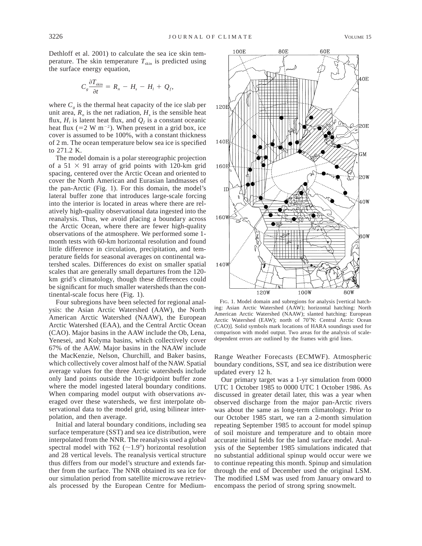Dethloff et al. 2001) to calculate the sea ice skin temperature. The skin temperature  $T_{\text{skin}}$  is predicted using the surface energy equation,

$$
C_s \frac{\partial T_{\text{skin}}}{\partial t} = R_n - H_s - H_l + Q_f,
$$

where  $C_e$  is the thermal heat capacity of the ice slab per unit area,  $R_n$  is the net radiation,  $H_s$  is the sensible heat flux,  $H_i$  is latent heat flux, and  $Q_f$  is a constant oceanic heat flux (=2 W m<sup>-2</sup>). When present in a grid box, ice cover is assumed to be 100%, with a constant thickness of 2 m. The ocean temperature below sea ice is specified to 271.2 K.

The model domain is a polar stereographic projection of a  $51 \times 91$  array of grid points with 120-km grid spacing, centered over the Arctic Ocean and oriented to cover the North American and Eurasian landmasses of the pan-Arctic (Fig. 1). For this domain, the model's lateral buffer zone that introduces large-scale forcing into the interior is located in areas where there are relatively high-quality observational data ingested into the reanalysis. Thus, we avoid placing a boundary across the Arctic Ocean, where there are fewer high-quality observations of the atmosphere. We performed some 1 month tests with 60-km horizontal resolution and found little difference in circulation, precipitation, and temperature fields for seasonal averages on continental watershed scales. Differences do exist on smaller spatial scales that are generally small departures from the 120 km grid's climatology, though these differences could be significant for much smaller watersheds than the continental-scale focus here (Fig. 1).

Four subregions have been selected for regional analysis: the Asian Arctic Watershed (AAW), the North American Arctic Watershed (NAAW), the European Arctic Watershed (EAA), and the Central Arctic Ocean (CAO). Major basins in the AAW include the Ob, Lena, Yenesei, and Kolyma basins, which collectively cover 67% of the AAW. Major basins in the NAAW include the MacKenzie, Nelson, Churchill, and Baker basins, which collectively cover almost half of the NAW. Spatial average values for the three Arctic watersheds include only land points outside the 10-gridpoint buffer zone where the model ingested lateral boundary conditions. When comparing model output with observations averaged over these watersheds, we first interpolate observational data to the model grid, using bilinear interpolation, and then average.

Initial and lateral boundary conditions, including sea surface temperature (SST) and sea ice distribution, were interpolated from the NNR. The reanalysis used a global spectral model with T62 ( $\sim$ 1.9°) horizontal resolution and 28 vertical levels. The reanalysis vertical structure thus differs from our model's structure and extends farther from the surface. The NNR obtained its sea ice for our simulation period from satellite microwave retrievals processed by the European Centre for Medium-



FIG. 1. Model domain and subregions for analysis [vertical hatching: Asian Arctic Watershed (AAW); horizontal hatching: North American Arctic Watershed (NAAW); slanted hatching: European Arctic Watershed (EAW); north of 70°N: Central Arctic Ocean (CAO)]. Solid symbols mark locations of HARA soundings used for comparison with model output. Two areas for the analysis of scaledependent errors are outlined by the frames with grid lines.

Range Weather Forecasts (ECMWF). Atmospheric boundary conditions, SST, and sea ice distribution were updated every 12 h.

Our primary target was a 1-yr simulation from 0000 UTC 1 October 1985 to 0000 UTC 1 October 1986. As discussed in greater detail later, this was a year when observed discharge from the major pan-Arctic rivers was about the same as long-term climatology. Prior to our October 1985 start, we ran a 2-month simulation repeating September 1985 to account for model spinup of soil moisture and temperature and to obtain more accurate initial fields for the land surface model. Analysis of the September 1985 simulations indicated that no substantial additional spinup would occur were we to continue repeating this month. Spinup and simulation through the end of December used the original LSM. The modified LSM was used from January onward to encompass the period of strong spring snowmelt.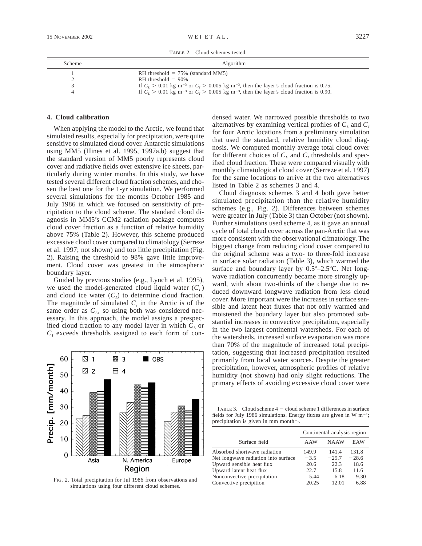TABLE 2. Cloud schemes tested.

| Scheme | Algorithm                                                                                                         |  |  |
|--------|-------------------------------------------------------------------------------------------------------------------|--|--|
|        | RH threshold $= 75\%$ (standard MM5)                                                                              |  |  |
|        | RH threshold $= 90\%$                                                                                             |  |  |
|        | If $C_L > 0.01$ kg m <sup>-3</sup> or $C_I > 0.005$ kg m <sup>-3</sup> , then the layer's cloud fraction is 0.75. |  |  |
|        | If $C_t > 0.01$ kg m <sup>-3</sup> or $C_t > 0.005$ kg m <sup>-3</sup> , then the layer's cloud fraction is 0.90. |  |  |

#### **4. Cloud calibration**

When applying the model to the Arctic, we found that simulated results, especially for precipitation, were quite sensitive to simulated cloud cover. Antarctic simulations using MM5 (Hines et al. 1995, 1997a,b) suggest that the standard version of MM5 poorly represents cloud cover and radiative fields over extensive ice sheets, particularly during winter months. In this study, we have tested several different cloud fraction schemes, and chosen the best one for the 1-yr simulation. We performed several simulations for the months October 1985 and July 1986 in which we focused on sensitivity of precipitation to the cloud scheme. The standard cloud diagnosis in MM5's CCM2 radiation package computes cloud cover fraction as a function of relative humidity above 75% (Table 2). However, this scheme produced excessive cloud cover compared to climatology (Serreze et al. 1997; not shown) and too little precipitation (Fig. 2). Raising the threshold to 98% gave little improvement. Cloud cover was greatest in the atmospheric boundary layer.

Guided by previous studies (e.g., Lynch et al. 1995), we used the model-generated cloud liquid water  $(C_L)$ and cloud ice water  $(C<sub>I</sub>)$  to determine cloud fraction. The magnitude of simulated  $C<sub>I</sub>$  in the Arctic is of the same order as  $C_L$ , so using both was considered necessary. In this approach, the model assigns a prespecified cloud fraction to any model layer in which  $C_L$  or  $C<sub>I</sub>$  exceeds thresholds assigned to each form of con-



FIG. 2. Total precipitation for Jul 1986 from observations and simulations using four different cloud schemes.

densed water. We narrowed possible thresholds to two alternatives by examining vertical profiles of  $C_L$  and  $C_I$ for four Arctic locations from a preliminary simulation that used the standard, relative humidity cloud diagnosis. We computed monthly average total cloud cover for different choices of  $C_L$  and  $C_I$  thresholds and specified cloud fraction. These were compared visually with monthly climatological cloud cover (Serreze et al. 1997) for the same locations to arrive at the two alternatives listed in Table 2 as schemes 3 and 4.

Cloud diagnosis schemes 3 and 4 both gave better simulated precipitation than the relative humidity schemes (e.g., Fig. 2). Differences between schemes were greater in July (Table 3) than October (not shown). Further simulations used scheme 4, as it gave an annual cycle of total cloud cover across the pan-Arctic that was more consistent with the observational climatology. The biggest change from reducing cloud cover compared to the original scheme was a two- to three-fold increase in surface solar radiation (Table 3), which warmed the surface and boundary layer by  $0.5^{\circ}$ -2.5 $^{\circ}$ C. Net longwave radiation concurrently became more strongly upward, with about two-thirds of the change due to reduced downward longwave radiation from less cloud cover. More important were the increases in surface sensible and latent heat fluxes that not only warmed and moistened the boundary layer but also promoted substantial increases in convective precipitation, especially in the two largest continental watersheds. For each of the watersheds, increased surface evaporation was more than 70% of the magnitude of increased total precipitation, suggesting that increased precipitation resulted primarily from local water sources. Despite the greater precipitation, however, atmospheric profiles of relative humidity (not shown) had only slight reductions. The primary effects of avoiding excessive cloud cover were

TABLE 3. Cloud scheme  $4 -$  cloud scheme 1 differences in surface fields for July 1986 simulations. Energy fluxes are given in W m<sup>-2</sup>; precipitation is given in mm month<sup> $-1$ </sup>.

|                                     | Continental analysis region |             |         |
|-------------------------------------|-----------------------------|-------------|---------|
| Surface field                       | AAW                         | <b>NAAW</b> | EAW     |
| Absorbed shortwave radiation        | 149.9                       | 141.4       | 131.8   |
| Net longwave radiation into surface | $-3.5$                      | $-29.7$     | $-28.6$ |
| Upward sensible heat flux           | 20.6                        | 22.3        | 18.6    |
| Upward latent heat flux             | 22.7                        | 15.8        | 11.6    |
| Nonconvective precipitation         | 5.44                        | 6.18        | 9.30    |
| Convective precipition              | 20.25                       | 12.01       | 6.88    |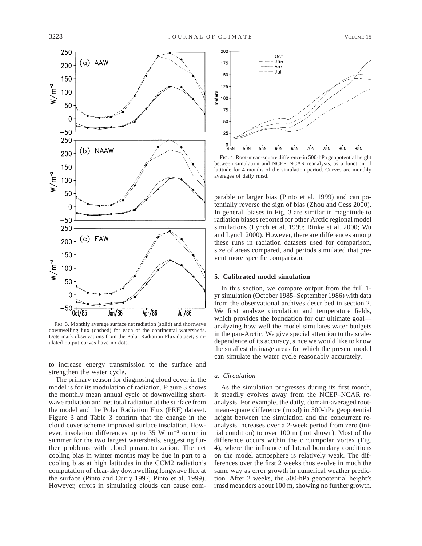

FIG. 3. Monthly average surface net radiation (solid) and shortwave downwelling flux (dashed) for each of the continental watersheds. Dots mark observations from the Polar Radiation Flux dataset; simulated output curves have no dots.

to increase energy transmission to the surface and strengthen the water cycle.

The primary reason for diagnosing cloud cover in the model is for its modulation of radiation. Figure 3 shows the monthly mean annual cycle of downwelling shortwave radiation and net total radiation at the surface from the model and the Polar Radiation Flux (PRF) dataset. Figure 3 and Table 3 confirm that the change in the cloud cover scheme improved surface insolation. However, insolation differences up to 35 W  $m^{-2}$  occur in summer for the two largest watersheds, suggesting further problems with cloud parameterization. The net cooling bias in winter months may be due in part to a cooling bias at high latitudes in the CCM2 radiation's computation of clear-sky downwelling longwave flux at the surface (Pinto and Curry 1997; Pinto et al. 1999). However, errors in simulating clouds can cause com-



FIG. 4. Root-mean-square difference in 500-hPa geopotential height between simulation and NCEP–NCAR reanalysis, as a function of latitude for 4 months of the simulation period. Curves are monthly averages of daily rmsd.

parable or larger bias (Pinto et al. 1999) and can potentially reverse the sign of bias (Zhou and Cess 2000). In general, biases in Fig. 3 are similar in magnitude to radiation biases reported for other Arctic regional model simulations (Lynch et al. 1999; Rinke et al. 2000; Wu and Lynch 2000). However, there are differences among these runs in radiation datasets used for comparison, size of areas compared, and periods simulated that prevent more specific comparison.

## **5. Calibrated model simulation**

In this section, we compare output from the full 1 yr simulation (October 1985–September 1986) with data from the observational archives described in section 2. We first analyze circulation and temperature fields, which provides the foundation for our ultimate goal analyzing how well the model simulates water budgets in the pan-Arctic. We give special attention to the scaledependence of its accuracy, since we would like to know the smallest drainage areas for which the present model can simulate the water cycle reasonably accurately.

#### *a. Circulation*

As the simulation progresses during its first month, it steadily evolves away from the NCEP–NCAR reanalysis. For example, the daily, domain-averaged rootmean-square difference (rmsd) in 500-hPa geopotential height between the simulation and the concurrent reanalysis increases over a 2-week period from zero (initial condition) to over 100 m (not shown). Most of the difference occurs within the circumpolar vortex (Fig. 4), where the influence of lateral boundary conditions on the model atmosphere is relatively weak. The differences over the first 2 weeks thus evolve in much the same way as error growth in numerical weather prediction. After 2 weeks, the 500-hPa geopotential height's rmsd meanders about 100 m, showing no further growth.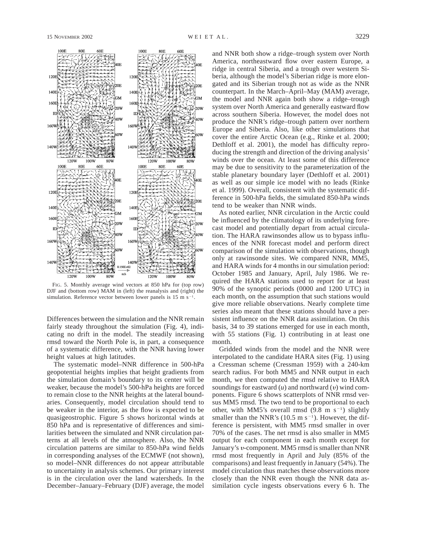

FIG. 5. Monthly average wind vectors at 850 hPa for (top row) DJF and (bottom row) MAM in (left) the reanalysis and (right) the simulation. Reference vector between lower panels is  $15 \text{ m s}^{-1}$ .

Differences between the simulation and the NNR remain fairly steady throughout the simulation (Fig. 4), indicating no drift in the model. The steadily increasing rmsd toward the North Pole is, in part, a consequence of a systematic difference, with the NNR having lower height values at high latitudes.

The systematic model–NNR difference in 500-hPa geopotential heights implies that height gradients from the simulation domain's boundary to its center will be weaker, because the model's 500-hPa heights are forced to remain close to the NNR heights at the lateral boundaries. Consequently, model circulation should tend to be weaker in the interior, as the flow is expected to be quasigeostrophic. Figure 5 shows horizontal winds at 850 hPa and is representative of differences and similarities between the simulated and NNR circulation patterns at all levels of the atmosphere. Also, the NNR circulation patterns are similar to 850-hPa wind fields in corresponding analyses of the ECMWF (not shown), so model–NNR differences do not appear attributable to uncertainty in analysis schemes. Our primary interest is in the circulation over the land watersheds. In the December–January–February (DJF) average, the model and NNR both show a ridge–trough system over North America, northeastward flow over eastern Europe, a ridge in central Siberia, and a trough over western Siberia, although the model's Siberian ridge is more elongated and its Siberian trough not as wide as the NNR counterpart. In the March–April–May (MAM) average, the model and NNR again both show a ridge–trough system over North America and generally eastward flow across southern Siberia. However, the model does not produce the NNR's ridge–trough pattern over northern Europe and Siberia. Also, like other simulations that cover the entire Arctic Ocean (e.g., Rinke et al. 2000; Dethloff et al. 2001), the model has difficulty reproducing the strength and direction of the driving analysis' winds over the ocean. At least some of this difference may be due to sensitivity to the parameterization of the stable planetary boundary layer (Dethloff et al. 2001) as well as our simple ice model with no leads (Rinke et al. 1999). Overall, consistent with the systematic difference in 500-hPa fields, the simulated 850-hPa winds tend to be weaker than NNR winds.

As noted earlier, NNR circulation in the Arctic could be influenced by the climatology of its underlying forecast model and potentially depart from actual circulation. The HARA rawinsondes allow us to bypass influences of the NNR forecast model and perform direct comparison of the simulation with observations, though only at rawinsonde sites. We compared NNR, MM5, and HARA winds for 4 months in our simulation period: October 1985 and January, April, July 1986. We required the HARA stations used to report for at least 90% of the synoptic periods (0000 and 1200 UTC) in each month, on the assumption that such stations would give more reliable observations. Nearly complete time series also meant that these stations should have a persistent influence on the NNR data assimilation. On this basis, 34 to 39 stations emerged for use in each month, with 55 stations (Fig. 1) contributing in at least one month.

Gridded winds from the model and the NNR were interpolated to the candidate HARA sites (Fig. 1) using a Cressman scheme (Cressman 1959) with a 240-km search radius. For both MM5 and NNR output in each month, we then computed the rmsd relative to HARA soundings for eastward  $(u)$  and northward  $(v)$  wind components. Figure 6 shows scatterplots of NNR rmsd versus MM5 rmsd. The two tend to be proportional to each other, with MM5's overall rmsd  $(9.8 \text{ m s}^{-1})$  slightly smaller than the NNR's (10.5 m  $s^{-1}$ ). However, the difference is persistent, with MM5 rmsd smaller in over 70% of the cases. The net rmsd is also smaller in MM5 output for each component in each month except for January's v-component. MM5 rmsd is smaller than NNR rmsd most frequently in April and July (85% of the comparisons) and least frequently in January (54%). The model circulation thus matches these observations more closely than the NNR even though the NNR data assimilation cycle ingests observations every 6 h. The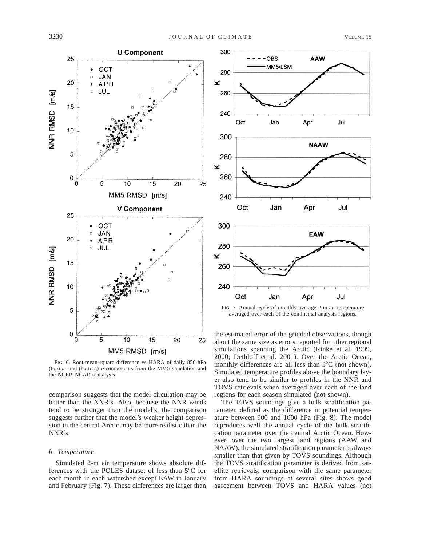

FIG. 6. Root-mean-square difference vs HARA of daily 850-hPa (top) *u*- and (bottom) <sup>y</sup>-components from the MM5 simulation and the NCEP–NCAR reanalysis.

comparison suggests that the model circulation may be better than the NNR's. Also, because the NNR winds tend to be stronger than the model's, the comparison suggests further that the model's weaker height depression in the central Arctic may be more realistic than the NNR's.

#### *b. Temperature*

Simulated 2-m air temperature shows absolute differences with the POLES dataset of less than  $5^{\circ}$ C for each month in each watershed except EAW in January and February (Fig. 7). These differences are larger than



averaged over each of the continental analysis regions.

the estimated error of the gridded observations, though about the same size as errors reported for other regional simulations spanning the Arctic (Rinke et al. 1999, 2000; Dethloff et al. 2001). Over the Arctic Ocean, monthly differences are all less than  $3^{\circ}$ C (not shown). Simulated temperature profiles above the boundary layer also tend to be similar to profiles in the NNR and TOVS retrievals when averaged over each of the land regions for each season simulated (not shown).

The TOVS soundings give a bulk stratification parameter, defined as the difference in potential temperature between 900 and 1000 hPa (Fig. 8). The model reproduces well the annual cycle of the bulk stratification parameter over the central Arctic Ocean. However, over the two largest land regions (AAW and NAAW), the simulated stratification parameter is always smaller than that given by TOVS soundings. Although the TOVS stratification parameter is derived from satellite retrievals, comparison with the same parameter from HARA soundings at several sites shows good agreement between TOVS and HARA values (not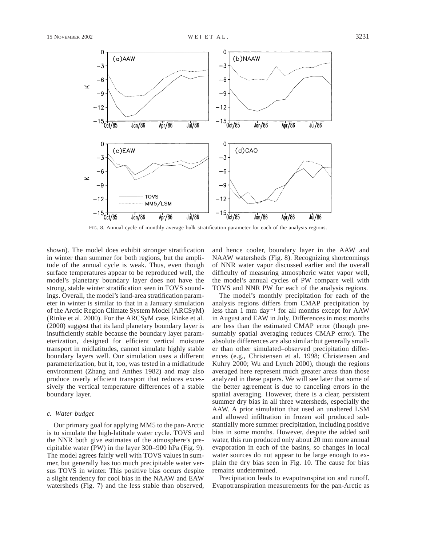

FIG. 8. Annual cycle of monthly average bulk stratification parameter for each of the analysis regions.

shown). The model does exhibit stronger stratification in winter than summer for both regions, but the amplitude of the annual cycle is weak. Thus, even though surface temperatures appear to be reproduced well, the model's planetary boundary layer does not have the strong, stable winter stratification seen in TOVS soundings. Overall, the model's land-area stratification parameter in winter is similar to that in a January simulation of the Arctic Region Climate System Model (ARCSyM) (Rinke et al. 2000). For the ARCSyM case, Rinke et al. (2000) suggest that its land planetary boundary layer is insufficiently stable because the boundary layer parameterization, designed for efficient vertical moisture transport in midlatitudes, cannot simulate highly stable boundary layers well. Our simulation uses a different parameterization, but it, too, was tested in a midlatitude environment (Zhang and Anthes 1982) and may also produce overly efficient transport that reduces excessively the vertical temperature differences of a stable boundary layer.

#### *c. Water budget*

Our primary goal for applying MM5 to the pan-Arctic is to simulate the high-latitude water cycle. TOVS and the NNR both give estimates of the atmosphere's precipitable water (PW) in the layer 300–900 hPa (Fig. 9). The model agrees fairly well with TOVS values in summer, but generally has too much precipitable water versus TOVS in winter. This positive bias occurs despite a slight tendency for cool bias in the NAAW and EAW watersheds (Fig. 7) and the less stable than observed,

and hence cooler, boundary layer in the AAW and NAAW watersheds (Fig. 8). Recognizing shortcomings of NNR water vapor discussed earlier and the overall difficulty of measuring atmospheric water vapor well, the model's annual cycles of PW compare well with TOVS and NNR PW for each of the analysis regions.

The model's monthly precipitation for each of the analysis regions differs from CMAP precipitation by less than  $1 \text{ mm day}^{-1}$  for all months except for AAW in August and EAW in July. Differences in most months are less than the estimated CMAP error (though presumably spatial averaging reduces CMAP error). The absolute differences are also similar but generally smaller than other simulated–observed precipitation differences (e.g., Christensen et al. 1998; Christensen and Kuhry 2000; Wu and Lynch 2000), though the regions averaged here represent much greater areas than those analyzed in these papers. We will see later that some of the better agreement is due to canceling errors in the spatial averaging. However, there is a clear, persistent summer dry bias in all three watersheds, especially the AAW. A prior simulation that used an unaltered LSM and allowed infiltration in frozen soil produced substantially more summer precipitation, including positive bias in some months. However, despite the added soil water, this run produced only about 20 mm more annual evaporation in each of the basins, so changes in local water sources do not appear to be large enough to explain the dry bias seen in Fig. 10. The cause for bias remains undetermined.

Precipitation leads to evapotranspiration and runoff. Evapotranspiration measurements for the pan-Arctic as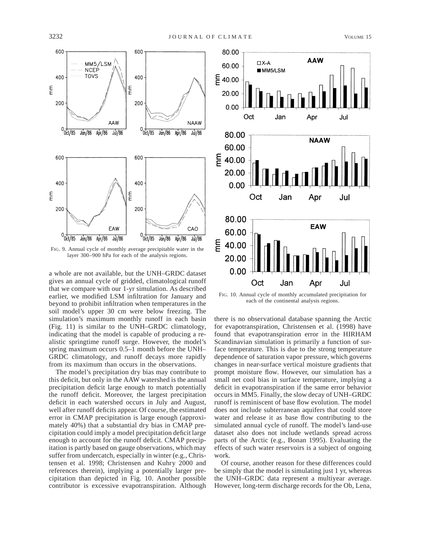

FIG. 9. Annual cycle of monthly average precipitable water in the layer 300–900 hPa for each of the analysis regions.

a whole are not available, but the UNH–GRDC dataset gives an annual cycle of gridded, climatological runoff that we compare with our 1-yr simulation. As described earlier, we modified LSM infiltration for January and beyond to prohibit infiltration when temperatures in the soil model's upper 30 cm were below freezing. The simulation's maximum monthly runoff in each basin (Fig. 11) is similar to the UNH–GRDC climatology, indicating that the model is capable of producing a realistic springtime runoff surge. However, the model's spring maximum occurs 0.5–1 month before the UNH– GRDC climatology, and runoff decays more rapidly from its maximum than occurs in the observations.

The model's precipitation dry bias may contribute to this deficit, but only in the AAW watershed is the annual precipitation deficit large enough to match potentially the runoff deficit. Moreover, the largest precipitation deficit in each watershed occurs in July and August, well after runoff deficits appear. Of course, the estimated error in CMAP precipitation is large enough (approximately 40%) that a substantial dry bias in CMAP precipitation could imply a model precipitation deficit large enough to account for the runoff deficit. CMAP precipitation is partly based on gauge observations, which may suffer from undercatch, especially in winter (e.g., Christensen et al. 1998; Christensen and Kuhry 2000 and references therein), implying a potentially larger precipitation than depicted in Fig. 10. Another possible contributor is excessive evapotranspiration. Although



FIG. 10. Annual cycle of monthly accumulated precipitation for each of the continental analysis regions.

there is no observational database spanning the Arctic for evapotranspiration, Christensen et al. (1998) have found that evapotranspiration error in the HIRHAM Scandinavian simulation is primarily a function of surface temperature. This is due to the strong temperature dependence of saturation vapor pressure, which governs changes in near-surface vertical moisture gradients that prompt moisture flow. However, our simulation has a small net cool bias in surface temperature, implying a deficit in evapotranspiration if the same error behavior occurs in MM5. Finally, the slow decay of UNH–GRDC runoff is reminiscent of base flow evolution. The model does not include subterranean aquifers that could store water and release it as base flow contributing to the simulated annual cycle of runoff. The model's land-use dataset also does not include wetlands spread across parts of the Arctic (e.g., Bonan 1995). Evaluating the effects of such water reservoirs is a subject of ongoing work.

Of course, another reason for these differences could be simply that the model is simulating just 1 yr, whereas the UNH–GRDC data represent a multiyear average. However, long-term discharge records for the Ob, Lena,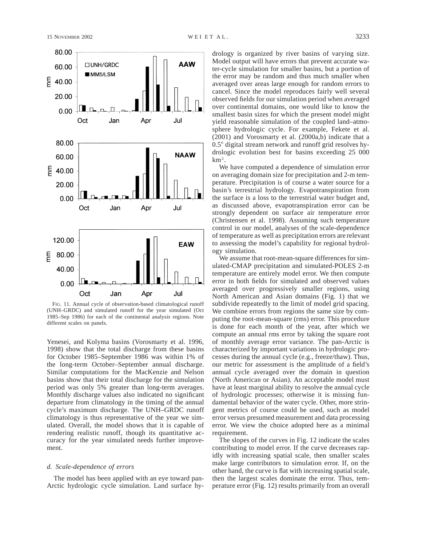



FIG. 11. Annual cycle of observation-based climatological runoff (UNH–GRDC) and simulated runoff for the year simulated (Oct 1985–Sep 1986) for each of the continental analysis regions. Note different scales on panels.

Yenesei, and Kolyma basins (Vorosmarty et al. 1996, 1998) show that the total discharge from these basins for October 1985–September 1986 was within 1% of the long-term October–September annual discharge. Similar computations for the MacKenzie and Nelson basins show that their total discharge for the simulation period was only 5% greater than long-term averages. Monthly discharge values also indicated no significant departure from climatology in the timing of the annual cycle's maximum discharge. The UNH–GRDC runoff climatology is thus representative of the year we simulated. Overall, the model shows that it is capable of rendering realistic runoff, though its quantitative accuracy for the year simulated needs further improvement.

#### *d. Scale-dependence of errors*

The model has been applied with an eye toward pan-Arctic hydrologic cycle simulation. Land surface hydrology is organized by river basins of varying size. Model output will have errors that prevent accurate water-cycle simulation for smaller basins, but a portion of the error may be random and thus much smaller when averaged over areas large enough for random errors to cancel. Since the model reproduces fairly well several observed fields for our simulation period when averaged over continental domains, one would like to know the smallest basin sizes for which the present model might yield reasonable simulation of the coupled land–atmosphere hydrologic cycle. For example, Fekete et al. (2001) and Vorosmarty et al. (2000a,b) indicate that a 0.5° digital stream network and runoff grid resolves hydrologic evolution best for basins exceeding 25 000 km2.

We have computed a dependence of simulation error on averaging domain size for precipitation and 2-m temperature. Precipitation is of course a water source for a basin's terrestrial hydrology. Evapotranspiration from the surface is a loss to the terrestrial water budget and, as discussed above, evapotranspiration error can be strongly dependent on surface air temperature error (Christensen et al. 1998). Assuming such temperature control in our model, analyses of the scale-dependence of temperature as well as precipitation errors are relevant to assessing the model's capability for regional hydrology simulation.

We assume that root-mean-square differences for simulated-CMAP precipitation and simulated-POLES 2-m temperature are entirely model error. We then compute error in both fields for simulated and observed values averaged over progressively smaller regions, using North American and Asian domains (Fig. 1) that we subdivide repeatedly to the limit of model grid spacing. We combine errors from regions the same size by computing the root-mean-square (rms) error. This procedure is done for each month of the year, after which we compute an annual rms error by taking the square root of monthly average error variance. The pan-Arctic is characterized by important variations in hydrologic processes during the annual cycle (e.g., freeze/thaw). Thus, our metric for assessment is the amplitude of a field's annual cycle averaged over the domain in question (North American or Asian). An acceptable model must have at least marginal ability to resolve the annual cycle of hydrologic processes; otherwise it is missing fundamental behavior of the water cycle. Other, more stringent metrics of course could be used, such as model error versus presumed measurement and data processing error. We view the choice adopted here as a minimal requirement.

The slopes of the curves in Fig. 12 indicate the scales contributing to model error. If the curve decreases rapidly with increasing spatial scale, then smaller scales make large contributors to simulation error. If, on the other hand, the curve is flat with increasing spatial scale, then the largest scales dominate the error. Thus, temperature error (Fig. 12) results primarily from an overall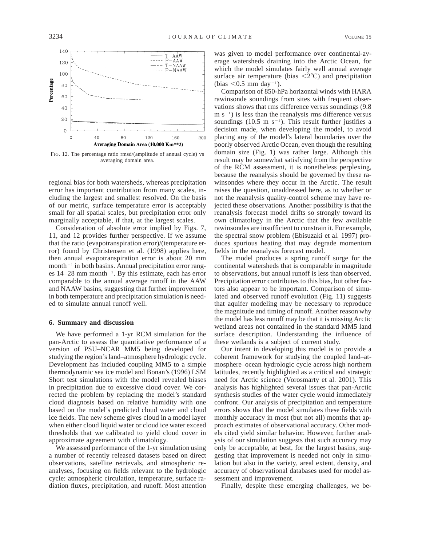

FIG. 12. The percentage ratio rmsd/(amplitude of annual cycle) vs averaging domain area.

regional bias for both watersheds, whereas precipitation error has important contribution from many scales, including the largest and smallest resolved. On the basis of our metric, surface temperature error is acceptably small for all spatial scales, but precipitation error only marginally acceptable, if that, at the largest scales.

Consideration of absolute error implied by Figs. 7, 11, and 12 provides further perspective. If we assume that the ratio (evapotranspiration error)/(temperature error) found by Christensen et al. (1998) applies here, then annual evapotranspiration error is about 20 mm month<sup> $-1$ </sup> in both basins. Annual precipitation error ranges 14–28 mm month<sup>-1</sup>. By this estimate, each has error comparable to the annual average runoff in the AAW and NAAW basins, suggesting that further improvement in both temperature and precipitation simulation is needed to simulate annual runoff well.

#### **6. Summary and discussion**

We have performed a 1-yr RCM simulation for the pan-Arctic to assess the quantitative performance of a version of PSU–NCAR MM5 being developed for studying the region's land–atmosphere hydrologic cycle. Development has included coupling MM5 to a simple thermodynamic sea ice model and Bonan's (1996) LSM Short test simulations with the model revealed biases in precipitation due to excessive cloud cover. We corrected the problem by replacing the model's standard cloud diagnosis based on relative humidity with one based on the model's predicted cloud water and cloud ice fields. The new scheme gives cloud in a model layer when either cloud liquid water or cloud ice water exceed thresholds that we calibrated to yield cloud cover in approximate agreement with climatology.

We assessed performance of the 1-yr simulation using a number of recently released datasets based on direct observations, satellite retrievals, and atmospheric reanalyses, focusing on fields relevant to the hydrologic cycle: atmospheric circulation, temperature, surface radiation fluxes, precipitation, and runoff. Most attention

was given to model performance over continental-average watersheds draining into the Arctic Ocean, for which the model simulates fairly well annual average surface air temperature (bias  $\langle 2^{\circ}$ C) and precipitation (bias  $< 0.5$  mm day<sup>-1</sup>).

Comparison of 850-hPa horizontal winds with HARA rawinsonde soundings from sites with frequent observations shows that rms difference versus soundings (9.8  $m s^{-1}$ ) is less than the reanalysis rms difference versus soundings (10.5 m  $s^{-1}$ ). This result further justifies a decision made, when developing the model, to avoid placing any of the model's lateral boundaries over the poorly observed Arctic Ocean, even though the resulting domain size (Fig. 1) was rather large. Although this result may be somewhat satisfying from the perspective of the RCM assessment, it is nonetheless perplexing, because the reanalysis should be governed by these rawinsondes where they occur in the Arctic. The result raises the question, unaddressed here, as to whether or not the reanalysis quality-control scheme may have rejected these observations. Another possibility is that the reanalysis forecast model drifts so strongly toward its own climatology in the Arctic that the few available rawinsondes are insufficient to constrain it. For example, the spectral snow problem (Ebisuzaki et al. 1997) produces spurious heating that may degrade momentum fields in the reanalysis forecast model.

The model produces a spring runoff surge for the continental watersheds that is comparable in magnitude to observations, but annual runoff is less than observed. Precipitation error contributes to this bias, but other factors also appear to be important. Comparison of simulated and observed runoff evolution (Fig. 11) suggests that aquifer modeling may be necessary to reproduce the magnitude and timing of runoff. Another reason why the model has less runoff may be that it is missing Arctic wetland areas not contained in the standard MM5 land surface description. Understanding the influence of these wetlands is a subject of current study.

Our intent in developing this model is to provide a coherent framework for studying the coupled land–atmosphere–ocean hydrologic cycle across high northern latitudes, recently highlighted as a critical and strategic need for Arctic science (Vorosmarty et al. 2001). This analysis has highlighted several issues that pan-Arctic synthesis studies of the water cycle would immediately confront. Our analysis of precipitation and temperature errors shows that the model simulates these fields with monthly accuracy in most (but not all) months that approach estimates of observational accuracy. Other models cited yield similar behavior. However, further analysis of our simulation suggests that such accuracy may only be acceptable, at best, for the largest basins, suggesting that improvement is needed not only in simulation but also in the variety, areal extent, density, and accuracy of observational databases used for model assessment and improvement.

Finally, despite these emerging challenges, we be-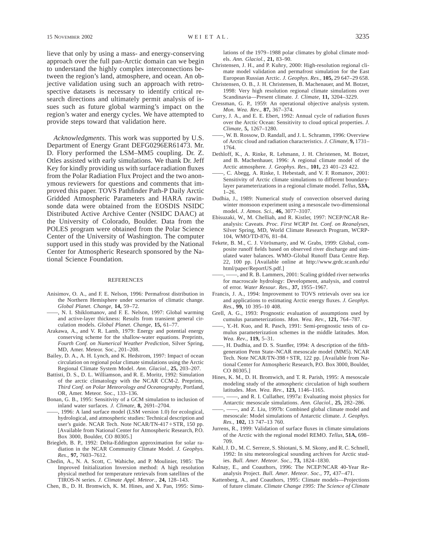lieve that only by using a mass- and energy-conserving approach over the full pan-Arctic domain can we begin to understand the highly complex interconnections between the region's land, atmosphere, and ocean. An objective validation using such an approach with retrospective datasets is necessary to identify critical research directions and ultimately permit analysis of issues such as future global warming's impact on the region's water and energy cycles. We have attempted to provide steps toward that validation here.

*Acknowledgments.* This work was supported by U.S. Department of Energy Grant DEFG0296ER61473. Mr. D. Flory performed the LSM–MM5 coupling. Dr. Z. Otles assisted with early simulations. We thank Dr. Jeff Key for kindly providing us with surface radiation fluxes from the Polar Radiation Flux Project and the two anonymous reviewers for questions and comments that improved this paper. TOVS Pathfinder Path-P Daily Arctic Gridded Atmospheric Parameters and HARA rawinsonde data were obtained from the EOSDIS NSIDC Distributed Active Archive Center (NSIDC DAAC) at the University of Colorado, Boulder. Data from the POLES program were obtained from the Polar Science Center of the University of Washington. The computer support used in this study was provided by the National Center for Atmospheric Research sponsored by the National Science Foundation.

#### REFERENCES

- Anisimov, O. A., and F. E. Nelson, 1996: Permafrost distribution in the Northern Hemisphere under scenarios of climatic change. *Global Planet. Change,* **14,** 59–72.
- ——, N. I. Shiklomanov, and F. E. Nelson, 1997: Global warming and active-layer thickness: Results from transient general circulation models. *Global Planet. Change,* **15,** 61–77.
- Arakawa, A., and V. R. Lamb, 1979: Energy and potential energy conserving scheme for the shallow-water equations. Preprints, *Fourth Conf. on Numerical Weather Prediction,* Silver Spring, MD, Amer. Meteor. Soc., 201–208.
- Bailey, D. A., A. H. Lynch, and K. Hedstrom, 1997: Impact of ocean circulation on regional polar climate simulations using the Arctic Regional Climate System Model. *Ann. Glaciol.,* **25,** 203–207.
- Battisti, D. S., D. L. Williamson, and R. E. Moritz, 1992: Simulation of the arctic climatology with the NCAR CCM-2. Preprints, *Third Conf. on Polar Meteorology and Oceanography,* Portland, OR, Amer. Meteor. Soc., 133–136.
- Bonan, G. B., 1995: Sensitivity of a GCM simulation to inclusion of inland water surfaces. *J. Climate,* **8,** 2691–2704.
- ——, 1996: A land surface model (LSM version 1.0) for ecological, hydrological, and atmospheric studies: Technical description and user's guide. NCAR Tech. Note  $NCAR/TN-417+STR$ , 150 pp. [Available from National Center for Atmospheric Research, P.O. Box 3000, Boulder, CO 80305.]
- Briegleb, B. P., 1992: Delta-Eddington approximation for solar radiation in the NCAR Community Climate Model. *J. Geophys. Res.,* **97,** 7603–7612.
- Chedin, A., N. A. Scott, C. Wahiche, and P. Moulinier, 1985: The Improved Initialization Inversion method: A high resolution physical method for temperature retrievals from satellites of the TIROS-N series. *J. Climate Appl. Meteor.,* **24,** 128–143.
- Chen, B., D. H. Bromwich, K. M. Hines, and X. Pan, 1995: Simu-

lations of the 1979–1988 polar climates by global climate models. *Ann. Glaciol.,* **21,** 83–90.

- Christensen, J. H., and P. Kuhry, 2000: High-resolution regional climate model validation and permafrost simulation for the East European Russian Arctic. *J. Geophys. Res.,* **105,** 29 647–29 658.
- Christensen, O. B., J. H. Christensen, B. Machenauer, and M. Botzet, 1998: Very high resolution regional climate simulations over Scandinavia—Present climate. *J. Climate,* **11,** 3204–3229.
- Cressman, G. P., 1959: An operational objective analysis system. *Mon. Wea. Rev.,* **87,** 367–374.
- Curry, J. A., and E. E. Ebert, 1992: Annual cycle of radiation fluxes over the Arctic Ocean: Sensitivity to cloud optical properties. *J. Climate,* **5,** 1267–1280.
- ——, W. B. Rossow, D. Randall, and J. L. Schramm, 1996: Overview of Arctic cloud and radiation characteristics. *J. Climate,* **9,** 1731– 1764.
- Dethloff, K., A. Rinke, R. Lehmann, J. H. Christenen, M. Botzet, and B. Machenhauer, 1996: A regional climate model of the Arctic atmosphere. *J. Geophys. Res.,* **101,** 23 401–23 422.
- ——, C. Abegg, A. Rinke, I. Hebestadt, and V. F. Romanov, 2001: Sensitivity of Arctic climate simulations to different boundarylayer parameterizations in a regional climate model. *Tellus,* **53A,**  $1 - 26$ .
- Dudhia, J., 1989: Numerical study of convection observed during winter monsoon experiment using a mesoscale two-dimensional model. *J. Atmos. Sci.,* **46,** 3077–3107.
- Ebisuzaki, W., M. Chelliah, and R. Kistler, 1997: NCEP/NCAR Reanalysis: Caveats. *Proc. First WCRP Int. Conf. on Reanalyses,* Silver Spring, MD, World Climate Research Program, WCRP-104, WMO/TD-876, 81–84.
- Fekete, B. M., C. J. Vörösmarty, and W. Grabs, 1999: Global, composite runoff fields based on observed river discharge and simulated water balances. WMO–Global Runoff Data Centre Rep. 22, 100 pp. [Available online at http://www.grdc.sr.unh.edu/ html/paper/ReportUS.pdf.]
- -, and R. B. Lammers, 2001: Scaling gridded river networks for macroscale hydrology: Development, analysis, and control of error. *Water Resour. Res.,* **37,** 1955–1967.
- Francis, J. A., 1994: Improvement to TOVS retrievals over sea ice and applications to estimating Arctic energy fluxes. *J. Geophys. Res.,* **99,** 10 395–10 408.
- Grell, A. G., 1993: Prognostic evaluation of assumptions used by cumulus parameterizations. *Mon. Wea. Rev.,* **121,** 764–787.
- ——, Y.-H. Kuo, and R. Pasch, 1991: Semi-prognostic tests of cumulus parameterization schemes in the middle latitudes. *Mon. Wea. Rev.,* **119,** 5–31.
- -, H. Dudhia, and D. S. Stanfler, 1994: A description of the fifthgeneration Penn State–NCAR mesoscale model (MM5). NCAR Tech. Note NCAR/TN-398+STR, 122 pp. [Available from National Center for Atmospheric Research, P.O. Box 3000, Boulder, CO 80305.]
- Hines, K. M., D. H. Bromwich, and T. R. Parish, 1995: A mesoscale modeling study of the atmospheric circulation of high southern latitudes. *Mon. Wea. Rev.,* **123,** 1146–1165.
- -, and R. I. Cullather, 1997a: Evaluating moist physics for Antarctic mesoscale simulations. *Ann. Glaciol.,* **25,** 282–286.
- -, and Z. Liu, 1997b: Combined global climate model and mesoscale: Model simulations of Antarctic climate. *J. Geophys. Res.,* **102,** 13 747–13 760.
- Jurrens, R., 1999: Validation of surface fluxes in climate simulations of the Arctic with the regional model REMO. *Tellus,* **51A,** 698– 709.
- Kahl, J. D., M. C. Serreze, S. Shiotani, S. M. Skony, and R. C. Schnell, 1992: In situ meteorological sounding archives for Arctic studies. *Bull. Amer. Meteor. Soc.,* **73,** 1824–1830.
- Kalnay, E., and Coauthors, 1996: The NCEP/NCAR 40-Year Reanalysis Project. *Bull. Amer. Meteor. Soc.,* **77,** 437–471.
- Kattenberg, A., and Coauthors, 1995: Climate models—Projections of future climate. *Climate Change 1995: The Science of Climate*